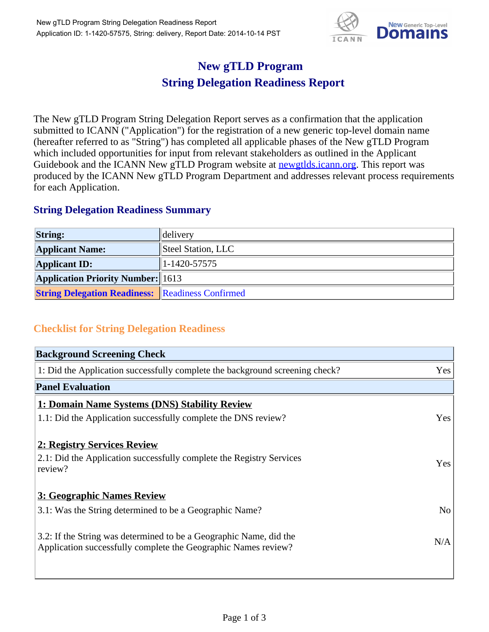

## **New gTLD Program String Delegation Readiness Report**

The New gTLD Program String Delegation Report serves as a confirmation that the application submitted to ICANN ("Application") for the registration of a new generic top-level domain name (hereafter referred to as "String") has completed all applicable phases of the New gTLD Program which included opportunities for input from relevant stakeholders as outlined in the Applicant Guidebook and the ICANN New gTLD Program website at **newgtlds.icann.org**. This report was produced by the ICANN New gTLD Program Department and addresses relevant process requirements for each Application.

## **String Delegation Readiness Summary**

| <b>String:</b>                                          | delivery           |
|---------------------------------------------------------|--------------------|
| <b>Applicant Name:</b>                                  | Steel Station, LLC |
| <b>Applicant ID:</b>                                    | $ 1-1420-57575 $   |
| <b>Application Priority Number: 1613</b>                |                    |
| <b>String Delegation Readiness: Readiness Confirmed</b> |                    |

## **Checklist for String Delegation Readiness**

| <b>Background Screening Check</b>                                                                                                    |                |
|--------------------------------------------------------------------------------------------------------------------------------------|----------------|
| 1: Did the Application successfully complete the background screening check?                                                         | Yes            |
| <b>Panel Evaluation</b>                                                                                                              |                |
| 1: Domain Name Systems (DNS) Stability Review                                                                                        |                |
| 1.1: Did the Application successfully complete the DNS review?                                                                       | Yes            |
| 2: Registry Services Review                                                                                                          |                |
| 2.1: Did the Application successfully complete the Registry Services<br>review?                                                      | Yes            |
| 3: Geographic Names Review                                                                                                           |                |
| 3.1: Was the String determined to be a Geographic Name?                                                                              | N <sub>o</sub> |
| 3.2: If the String was determined to be a Geographic Name, did the<br>Application successfully complete the Geographic Names review? | N/A            |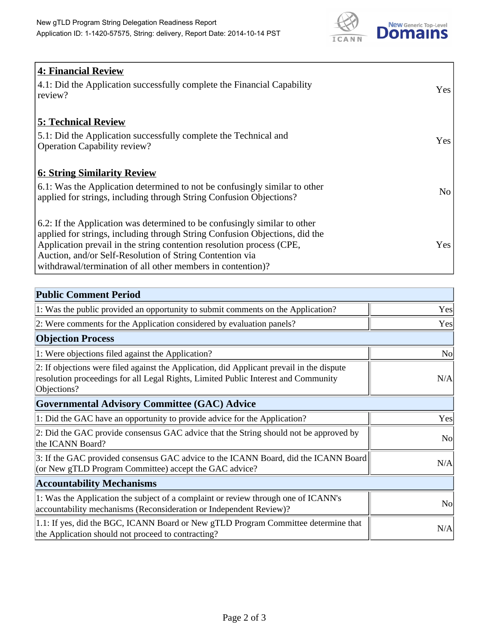

| <b>4: Financial Review</b><br>4.1: Did the Application successfully complete the Financial Capability<br>review?                                                                                                                                                                                                                                             | Yes            |
|--------------------------------------------------------------------------------------------------------------------------------------------------------------------------------------------------------------------------------------------------------------------------------------------------------------------------------------------------------------|----------------|
| <b>5: Technical Review</b><br>5.1: Did the Application successfully complete the Technical and<br><b>Operation Capability review?</b>                                                                                                                                                                                                                        | Yes            |
| <u><b>6: String Similarity Review</b></u><br>6.1: Was the Application determined to not be confusingly similar to other<br>applied for strings, including through String Confusion Objections?                                                                                                                                                               | N <sub>o</sub> |
| 6.2: If the Application was determined to be confusingly similar to other<br>applied for strings, including through String Confusion Objections, did the<br>Application prevail in the string contention resolution process (CPE,<br>Auction, and/or Self-Resolution of String Contention via<br>withdrawal/termination of all other members in contention)? | Yes            |

| <b>Public Comment Period</b>                                                                                                                                                                   |                |
|------------------------------------------------------------------------------------------------------------------------------------------------------------------------------------------------|----------------|
| 1: Was the public provided an opportunity to submit comments on the Application?                                                                                                               | Yes            |
| 2: Were comments for the Application considered by evaluation panels?                                                                                                                          | Yes            |
| <b>Objection Process</b>                                                                                                                                                                       |                |
| 1: Were objections filed against the Application?                                                                                                                                              | <b>No</b>      |
| 2: If objections were filed against the Application, did Applicant prevail in the dispute<br>resolution proceedings for all Legal Rights, Limited Public Interest and Community<br>Objections? | N/A            |
| Governmental Advisory Committee (GAC) Advice                                                                                                                                                   |                |
| 1: Did the GAC have an opportunity to provide advice for the Application?                                                                                                                      | Yes            |
| 2: Did the GAC provide consensus GAC advice that the String should not be approved by<br>the ICANN Board?                                                                                      | <b>No</b>      |
| 3: If the GAC provided consensus GAC advice to the ICANN Board, did the ICANN Board<br>(or New gTLD Program Committee) accept the GAC advice?                                                  | N/A            |
| <b>Accountability Mechanisms</b>                                                                                                                                                               |                |
| 1: Was the Application the subject of a complaint or review through one of ICANN's<br>accountability mechanisms (Reconsideration or Independent Review)?                                       | N <sub>0</sub> |
| 1.1: If yes, did the BGC, ICANN Board or New gTLD Program Committee determine that<br>the Application should not proceed to contracting?                                                       | N/A            |